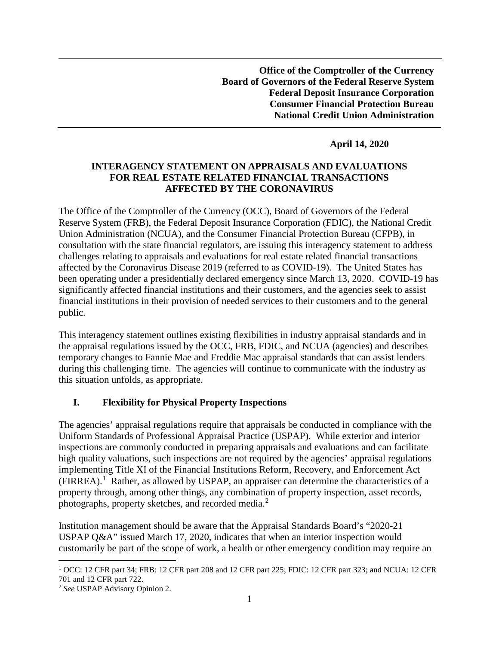**Office of the Comptroller of the Currency Board of Governors of the Federal Reserve System Federal Deposit Insurance Corporation Consumer Financial Protection Bureau National Credit Union Administration** 

### **April 14, 2020**

### **INTERAGENCY STATEMENT ON APPRAISALS AND EVALUATIONS FOR REAL ESTATE RELATED FINANCIAL TRANSACTIONS AFFECTED BY THE CORONAVIRUS**

The Office of the Comptroller of the Currency (OCC), Board of Governors of the Federal Reserve System (FRB), the Federal Deposit Insurance Corporation (FDIC), the National Credit Union Administration (NCUA), and the Consumer Financial Protection Bureau (CFPB), in consultation with the state financial regulators, are issuing this interagency statement to address challenges relating to appraisals and evaluations for real estate related financial transactions affected by the Coronavirus Disease 2019 (referred to as COVID-19). The United States has been operating under a presidentially declared emergency since March 13, 2020. COVID-19 has significantly affected financial institutions and their customers, and the agencies seek to assist financial institutions in their provision of needed services to their customers and to the general public.

This interagency statement outlines existing flexibilities in industry appraisal standards and in the appraisal regulations issued by the OCC, FRB, FDIC, and NCUA (agencies) and describes temporary changes to Fannie Mae and Freddie Mac appraisal standards that can assist lenders during this challenging time. The agencies will continue to communicate with the industry as this situation unfolds, as appropriate.

#### **I. Flexibility for Physical Property Inspections**

The agencies' appraisal regulations require that appraisals be conducted in compliance with the Uniform Standards of Professional Appraisal Practice (USPAP). While exterior and interior inspections are commonly conducted in preparing appraisals and evaluations and can facilitate high quality valuations, such inspections are not required by the agencies' appraisal regulations implementing Title XI of the Financial Institutions Reform, Recovery, and Enforcement Act  $(FIRREA).$ <sup>[1](#page-0-0)</sup> Rather, as allowed by USPAP, an appraiser can determine the characteristics of a property through, among other things, any combination of property inspection, asset records, photographs, property sketches, and recorded media.<sup>[2](#page-0-1)</sup>

Institution management should be aware that the Appraisal Standards Board's "2020-21 USPAP Q&A" issued March 17, 2020, indicates that when an interior inspection would customarily be part of the scope of work, a health or other emergency condition may require an

<span id="page-0-0"></span> <sup>1</sup> OCC: 12 CFR part 34; FRB: 12 CFR part 208 and 12 CFR part 225; FDIC: 12 CFR part 323; and NCUA: 12 CFR 701 and 12 CFR part 722.

<span id="page-0-1"></span><sup>2</sup> *See* USPAP Advisory Opinion 2.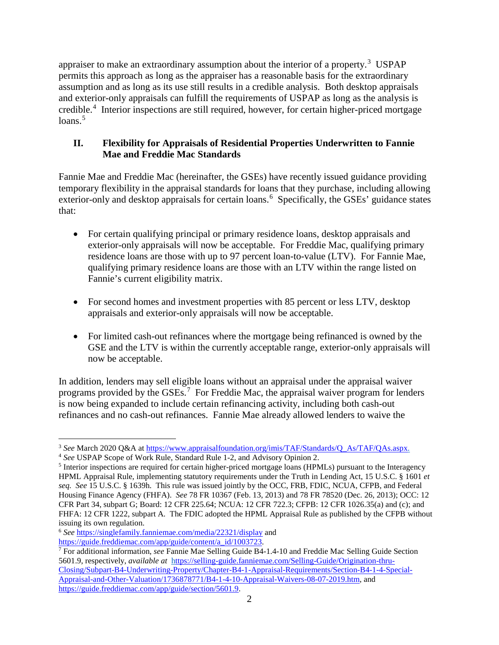appraiser to make an extraordinary assumption about the interior of a property.<sup>[3](#page-1-0)</sup> USPAP permits this approach as long as the appraiser has a reasonable basis for the extraordinary assumption and as long as its use still results in a credible analysis. Both desktop appraisals and exterior-only appraisals can fulfill the requirements of USPAP as long as the analysis is credible. [4](#page-1-1) Interior inspections are still required, however, for certain higher-priced mortgage  $loans.<sup>5</sup>$  $loans.<sup>5</sup>$  $loans.<sup>5</sup>$ 

# **II. Flexibility for Appraisals of Residential Properties Underwritten to Fannie Mae and Freddie Mac Standards**

Fannie Mae and Freddie Mac (hereinafter, the GSEs) have recently issued guidance providing temporary flexibility in the appraisal standards for loans that they purchase, including allowing exterior-only and desktop appraisals for certain loans.<sup>[6](#page-1-3)</sup> Specifically, the GSEs' guidance states that:

- For certain qualifying principal or primary residence loans, desktop appraisals and exterior-only appraisals will now be acceptable. For Freddie Mac, qualifying primary residence loans are those with up to 97 percent loan-to-value (LTV). For Fannie Mae, qualifying primary residence loans are those with an LTV within the range listed on Fannie's current eligibility matrix.
- For second homes and investment properties with 85 percent or less LTV, desktop appraisals and exterior-only appraisals will now be acceptable.
- For limited cash-out refinances where the mortgage being refinanced is owned by the GSE and the LTV is within the currently acceptable range, exterior-only appraisals will now be acceptable.

In addition, lenders may sell eligible loans without an appraisal under the appraisal waiver programs provided by the GSEs.<sup>[7](#page-1-4)</sup> For Freddie Mac, the appraisal waiver program for lenders is now being expanded to include certain refinancing activity, including both cash-out refinances and no cash-out refinances. Fannie Mae already allowed lenders to waive the

<span id="page-1-3"></span><sup>6</sup> *See* <https://singlefamily.fanniemae.com/media/22321/display> and [https://guide.freddiemac.com/app/guide/content/a\\_id/1003723.](https://guide.freddiemac.com/app/guide/content/a_id/1003723)

<span id="page-1-0"></span><sup>&</sup>lt;sup>3</sup> See March 2020 Q&A a[t https://www.appraisalfoundation.org/imis/TAF/Standards/Q\\_As/TAF/QAs.aspx.](https://www.appraisalfoundation.org/imis/TAF/Standards/Q_As/TAF/QAs.aspx)

<span id="page-1-1"></span><sup>4</sup> *See* USPAP Scope of Work Rule, Standard Rule 1-2, and Advisory Opinion 2.

<span id="page-1-2"></span><sup>&</sup>lt;sup>5</sup> Interior inspections are required for certain higher-priced mortgage loans (HPMLs) pursuant to the Interagency HPML Appraisal Rule, implementing statutory requirements under the Truth in Lending Act, 15 U.S.C. § 1601 *et seq. See* 15 U.S.C. § 1639h. This rule was issued jointly by the OCC, FRB, FDIC, NCUA, CFPB, and Federal Housing Finance Agency (FHFA). *See* 78 FR 10367 (Feb. 13, 2013) and 78 FR 78520 (Dec. 26, 2013); OCC: 12 CFR Part 34, subpart G; Board: 12 CFR 225.64; NCUA: 12 CFR 722.3; CFPB: 12 CFR 1026.35(a) and (c); and FHFA: 12 CFR 1222, subpart A. The FDIC adopted the HPML Appraisal Rule as published by the CFPB without issuing its own regulation.

<span id="page-1-4"></span><sup>7</sup> For additional information, *see* Fannie Mae Selling Guide B4-1.4-10 and Freddie Mac Selling Guide Section 5601.9, respectively, *available at* [https://selling-guide.fanniemae.com/Selling-Guide/Origination-thru-](https://selling-guide.fanniemae.com/Selling-Guide/Origination-thru-Closing/Subpart-B4-Underwriting-Property/Chapter-B4-1-Appraisal-Requirements/Section-B4-1-4-Special-Appraisal-and-Other-Valuation/1736878771/B4-1-4-10-Appraisal-Waivers-08-07-2019.htm)[Closing/Subpart-B4-Underwriting-Property/Chapter-B4-1-Appraisal-Requirements/Section-B4-1-4-Special-](https://selling-guide.fanniemae.com/Selling-Guide/Origination-thru-Closing/Subpart-B4-Underwriting-Property/Chapter-B4-1-Appraisal-Requirements/Section-B4-1-4-Special-Appraisal-and-Other-Valuation/1736878771/B4-1-4-10-Appraisal-Waivers-08-07-2019.htm)[Appraisal-and-Other-Valuation/1736878771/B4-1-4-10-Appraisal-Waivers-08-07-2019.htm,](https://selling-guide.fanniemae.com/Selling-Guide/Origination-thru-Closing/Subpart-B4-Underwriting-Property/Chapter-B4-1-Appraisal-Requirements/Section-B4-1-4-Special-Appraisal-and-Other-Valuation/1736878771/B4-1-4-10-Appraisal-Waivers-08-07-2019.htm) and [https://guide.freddiemac.com/app/guide/section/5601.9.](https://guide.freddiemac.com/app/guide/section/5601.9)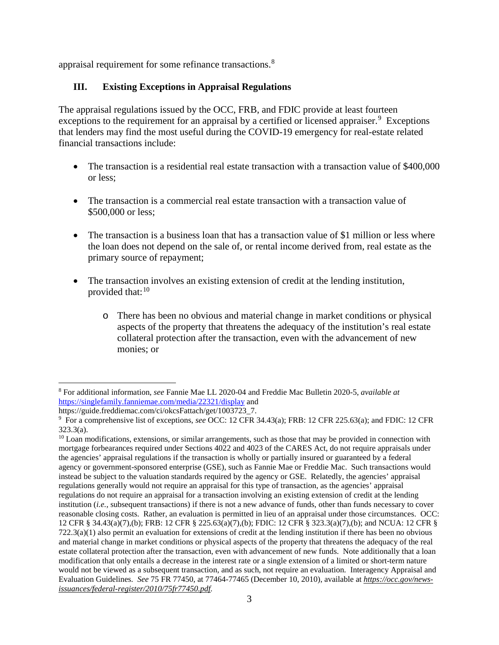appraisal requirement for some refinance transactions.<sup>[8](#page-2-0)</sup>

# **III. Existing Exceptions in Appraisal Regulations**

The appraisal regulations issued by the OCC, FRB, and FDIC provide at least fourteen exceptions to the requirement for an appraisal by a certified or licensed appraiser.<sup>[9](#page-2-1)</sup> Exceptions that lenders may find the most useful during the COVID-19 emergency for real-estate related financial transactions include:

- The transaction is a residential real estate transaction with a transaction value of \$400,000 or less;
- The transaction is a commercial real estate transaction with a transaction value of \$500,000 or less:
- The transaction is a business loan that has a transaction value of \$1 million or less where the loan does not depend on the sale of, or rental income derived from, real estate as the primary source of repayment;
- The transaction involves an existing extension of credit at the lending institution, provided that:<sup>[10](#page-2-2)</sup>
	- o There has been no obvious and material change in market conditions or physical aspects of the property that threatens the adequacy of the institution's real estate collateral protection after the transaction, even with the advancement of new monies; or

<span id="page-2-0"></span> <sup>8</sup> For additional information, *see* Fannie Mae LL 2020-04 and Freddie Mac Bulletin 2020-5, *available at*  <https://singlefamily.fanniemae.com/media/22321/display> and

https://guide.freddiemac.com/ci/okcsFattach/get/1003723\_7.

<span id="page-2-1"></span><sup>9</sup> For a comprehensive list of exceptions, *see* OCC: 12 CFR 34.43(a); FRB: 12 CFR 225.63(a); and FDIC: 12 CFR 323.3(a).

<span id="page-2-2"></span> $10$  Loan modifications, extensions, or similar arrangements, such as those that may be provided in connection with mortgage forbearances required under Sections 4022 and 4023 of the CARES Act, do not require appraisals under the agencies' appraisal regulations if the transaction is wholly or partially insured or guaranteed by a federal agency or government-sponsored enterprise (GSE), such as Fannie Mae or Freddie Mac. Such transactions would instead be subject to the valuation standards required by the agency or GSE. Relatedly, the agencies' appraisal regulations generally would not require an appraisal for this type of transaction, as the agencies' appraisal regulations do not require an appraisal for a transaction involving an existing extension of credit at the lending institution (*i.e.,* subsequent transactions) if there is not a new advance of funds, other than funds necessary to cover reasonable closing costs. Rather, an evaluation is permitted in lieu of an appraisal under those circumstances. OCC: 12 CFR § 34.43(a)(7),(b); FRB: 12 CFR § 225.63(a)(7),(b); FDIC: 12 CFR § 323.3(a)(7),(b); and NCUA: 12 CFR §  $722.3(a)(1)$  also permit an evaluation for extensions of credit at the lending institution if there has been no obvious and material change in market conditions or physical aspects of the property that threatens the adequacy of the real estate collateral protection after the transaction, even with advancement of new funds. Note additionally that a loan modification that only entails a decrease in the interest rate or a single extension of a limited or short-term nature would not be viewed as a subsequent transaction, and as such, not require an evaluation. Interagency Appraisal and Evaluation Guidelines. *See* 75 FR 77450, at 77464-77465 (December 10, 2010), available at *[https://occ.gov/news](https://occ.gov/news-issuances/federal-register/2010/75fr77450.pdf)[issuances/federal-register/2010/75fr77450.pdf.](https://occ.gov/news-issuances/federal-register/2010/75fr77450.pdf)*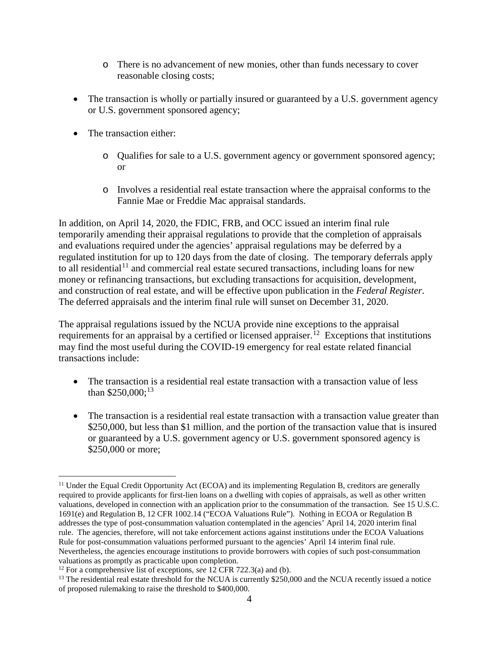- o There is no advancement of new monies, other than funds necessary to cover reasonable closing costs;
- The transaction is wholly or partially insured or guaranteed by a U.S. government agency or U.S. government sponsored agency;
- The transaction either:
	- o Qualifies for sale to a U.S. government agency or government sponsored agency; or
	- o Involves a residential real estate transaction where the appraisal conforms to the Fannie Mae or Freddie Mac appraisal standards.

In addition, on April 14, 2020, the FDIC, FRB, and OCC issued an interim final rule temporarily amending their appraisal regulations to provide that the completion of appraisals and evaluations required under the agencies' appraisal regulations may be deferred by a regulated institution for up to 120 days from the date of closing. The temporary deferrals apply to all residential<sup>[11](#page-3-0)</sup> and commercial real estate secured transactions, including loans for new money or refinancing transactions, but excluding transactions for acquisition, development, and construction of real estate, and will be effective upon publication in the *Federal Register*. The deferred appraisals and the interim final rule will sunset on December 31, 2020.

The appraisal regulations issued by the NCUA provide nine exceptions to the appraisal requirements for an appraisal by a certified or licensed appraiser.<sup>[12](#page-3-1)</sup> Exceptions that institutions may find the most useful during the COVID-19 emergency for real estate related financial transactions include:

- The transaction is a residential real estate transaction with a transaction value of less than  $$250,000;^{13}$  $$250,000;^{13}$  $$250,000;^{13}$
- The transaction is a residential real estate transaction with a transaction value greater than \$250,000, but less than \$1 million, and the portion of the transaction value that is insured or guaranteed by a U.S. government agency or U.S. government sponsored agency is \$250,000 or more;

<span id="page-3-0"></span> $11$  Under the Equal Credit Opportunity Act (ECOA) and its implementing Regulation B, creditors are generally required to provide applicants for first-lien loans on a dwelling with copies of appraisals, as well as other written valuations, developed in connection with an application prior to the consummation of the transaction. See 15 U.S.C. 1691(e) and Regulation B, 12 CFR 1002.14 ("ECOA Valuations Rule"). Nothing in ECOA or Regulation B addresses the type of post-consummation valuation contemplated in the agencies' April 14, 2020 interim final rule. The agencies, therefore, will not take enforcement actions against institutions under the ECOA Valuations Rule for post-consummation valuations performed pursuant to the agencies' April 14 interim final rule. Nevertheless, the agencies encourage institutions to provide borrowers with copies of such post-consummation valuations as promptly as practicable upon completion.

<span id="page-3-1"></span><sup>12</sup> For a comprehensive list of exceptions, *see* 12 CFR 722.3(a) and (b).

<span id="page-3-2"></span> $13$  The residential real estate threshold for the NCUA is currently \$250,000 and the NCUA recently issued a notice of proposed rulemaking to raise the threshold to \$400,000.